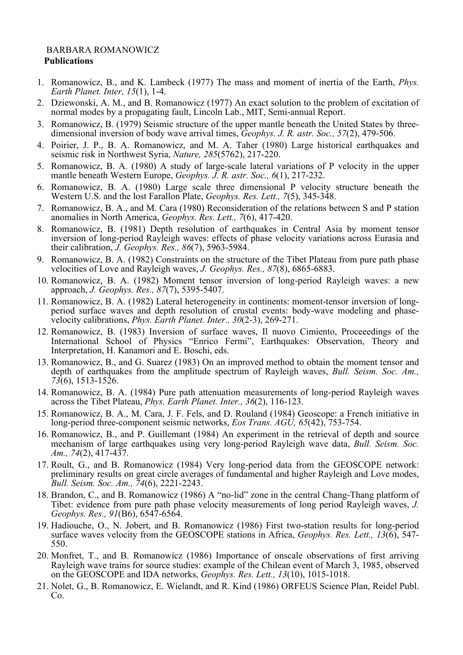## BARBARA ROMANOWICZ **Publications**

- 1. Romanowicz, B., and K. Lambeck (1977) The mass and moment of inertia of the Earth, *Phys. Earth Planet. Inter, 15*(1), 1-4.
- 2. Dziewonski, A. M., and B. Romanowicz (1977) An exact solution to the problem of excitation of normal modes by a propagating fault, Lincoln Lab., MIT, Semi-annual Report.
- 3. Romanowicz, B. (1979) Seismic structure of the upper mantle beneath the United States by three- dimensional inversion of body wave arrival times, *Geophys. J. R. astr. Soc., 57*(2), 479-506.
- 4. Poirier, J. P., B. A. Romanowicz, and M. A. Taher (1980) Large historical earthquakes and seismic risk in Northwest Syria, *Nature, 285*(5762), 217-220.
- 5. Romanowicz, B. A. (1980) A study of large-scale lateral variations of P velocity in the upper mantle beneath Western Europe, *Geophys. J. R. astr. Soc., 6*(1), 217-232.
- 6. Romanowicz, B. A. (1980) Large scale three dimensional P velocity structure beneath the Western U.S. and the lost Farallon Plate, *Geophys. Res. Lett., 7*(5), 345-348.
- 7. Romanowicz, B. A., and M. Cara (1980) Reconsideration of the relations between S and P station anomalies in North America, *Geophys. Res. Lett., 7*(6), 417-420.
- 8. Romanowicz, B. (1981) Depth resolution of earthquakes in Central Asia by moment tensor inversion of long-period Rayleigh waves: effects of phase velocity variations across Eurasia and their calibration, *J. Geophys. Res., 86*(7), 5963-5984.
- 9. Romanowicz, B. A. (1982) Constraints on the structure of the Tibet Plateau from pure path phase velocities of Love and Rayleigh waves, *J. Geophys. Res., 87*(8), 6865-6883.
- 10. Romanowicz, B. A. (1982) Moment tensor inversion of long-period Rayleigh waves: a new approach, *J. Geophys. Res., 87*(7), 5395-5407.
- 11. Romanowicz, B. A. (1982) Lateral heterogeneity in continents: moment-tensor inversion of long-<br>period surface waves and depth resolution of crustal events: body-wave modeling and phase-<br>velocity calibrations, *Phys. E*
- 12. Romanowicz, B. (1983) Inversion of surface waves, Il nuovo Cimiento, Proceeedings of the International School of Physics "Enrico Fermi", Earthquakes: Observation, Theory and Interpretation, H. Kanamori and E. Boschi, eds.
- 13. Romanowicz, B., and G. Suarez (1983) On an improved method to obtain the moment tensor and depth of earthquakes from the amplitude spectrum of Rayleigh waves, *Bull. Seism. Soc. Am., 73*(6), 1513-1526.
- 14. Romanowicz, B. A. (1984) Pure path attenuation measurements of long-period Rayleigh waves across the Tibet Plateau, *Phys. Earth Planet. Inter., 36*(2), 116-123.
- 15. Romanowicz, B. A., M. Cara, J. F. Fels, and D. Rouland (1984) Geoscope: a French initiative in long-period three-component seismic networks, *Eos Trans. AGU, 65*(42), 753-754.
- 16. Romanowicz, B., and P. Guillemant (1984) An experiment in the retrieval of depth and source mechanism of large earthquakes using very long-period Rayleigh wave data, *Bull. Seism. Soc. Am., 74*(2), 417-437.
- 17. Roult, G., and B. Romanowicz (1984) Very long-period data from the GEOSCOPE network: preliminary results on great circle averages of fundamental and higher Rayleigh and Love modes, *Bull. Seism. Soc. Am., 74*(6), 2221-2243.
- 18. Brandon, C., and B. Romanowicz (1986) A "no-lid" zone in the central Chang-Thang platform of Tibet: evidence from pure path phase velocity measurements of long period Rayleigh waves, *J. Geophys. Res., 91*(B6), 6547-6564.
- 19. Hadiouche, O., N. Jobert, and B. Romanowicz (1986) First two-station results for long-period surface waves velocity from the GEOSCOPE stations in Africa, *Geophys. Res. Lett., 13*(6), 547- 550.
- 20. Monfret, T., and B. Romanowicz (1986) Importance of onscale observations of first arriving Rayleigh wave trains for source studies: example of the Chilean event of March 3, 1985, observed on the GEOSCOPE and IDA networks, *Geophys. Res. Lett., 13*(10), 1015-1018.
- 21. Nolet, G., B. Romanowicz, E. Wielandt, and R. Kind (1986) ORFEUS Science Plan, Reidel Publ. Co.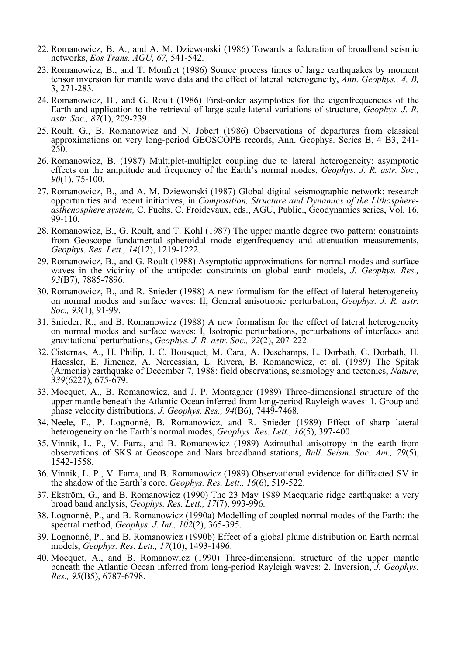- 22. Romanowicz, B. A., and A. M. Dziewonski (1986) Towards a federation of broadband seismic networks, *Eos Trans. AGU, 67,* 541-542.
- 23. Romanowicz, B., and T. Monfret (1986) Source process times of large earthquakes by moment tensor inversion for mantle wave data and the effect of lateral heterogeneity, *Ann. Geophys., 4, B,* 3, 271-283.
- 24. Romanowicz, B., and G. Roult (1986) First-order asymptotics for the eigenfrequencies of the Earth and application to the retrieval of large-scale lateral variations of structure, *Geophys. J. R. astr. Soc., 87*(1), 209-239.
- 25. Roult, G., B. Romanowicz and N. Jobert (1986) Observations of departures from classical approximations on very long-period GEOSCOPE records, Ann. Geophys. Series B, 4 B3, 241- 250.
- 26. Romanowicz, B. (1987) Multiplet-multiplet coupling due to lateral heterogeneity: asymptotic effects on the amplitude and frequency of the Earth's normal modes, *Geophys. J. R. astr. Soc., 90*(1), 75-100.
- 27. Romanowicz, B., and A. M. Dziewonski (1987) Global digital seismographic network: research opportunities and recent initiatives. in *Composition. Structure and Dynamics of the Lithosphere*asthenosphere system, C. Fuchs, C. Froidevaux, eds., AGU, Public., Geodynamics series, Vol. 16, 99-110.
- 28. Romanowicz, B., G. Roult, and T. Kohl (1987) The upper mantle degree two pattern: constraints from Geoscope fundamental spheroidal mode eigenfrequency and attenuation measurements, *Geophys. Res. Lett., 14*(12), 1219-1222.
- 29. Romanowicz, B., and G. Roult (1988) Asymptotic approximations for normal modes and surface waves in the vicinity of the antipode: constraints on global earth models, *J. Geophys. Res., 93*(B7), 7885-7896.
- 30. Romanowicz, B., and R. Snieder (1988) A new formalism for the effect of lateral heterogeneity on normal modes and surface waves: II, General anisotropic perturbation, *Geophys. J. R. astr. Soc., 93*(1), 91-99.
- 31. Snieder, R., and B. Romanowicz (1988) A new formalism for the effect of lateral heterogeneity on normal modes and surface waves: I, Isotropic perturbations, perturbations of interfaces and gravitational perturbations, *Geophys. J. R. astr. Soc., 92*(2), 207-222.
- 32. Cisternas, A., H. Philip, J. C. Bousquet, M. Cara, A. Deschamps, L. Dorbath, C. Dorbath, H. Haessler, E. Jimenez, A. Nercessian, L. Rivera, B. Romanowicz, et al. (1989) The Spitak (Armenia) earthquake of December 7, 1988: field observations, seismology and tectonics, *Nature, 339*(6227), 675-679.
- 33. Mocquet, A., B. Romanowicz, and J. P. Montagner (1989) Three-dimensional structure of the upper mantle beneath the Atlantic Ocean inferred from long-period Rayleigh waves: 1. Group and phase velocity distributions, *J. Geophys. Res., 94*(B6), 7449-7468.
- 34. Neele, F., P. Lognonné, B. Romanowicz, and R. Snieder (1989) Effect of sharp lateral heterogeneity on the Earth's normal modes, *Geophys. Res. Lett., 16*(5), 397-400.
- 35. Vinnik, L. P., V. Farra, and B. Romanowicz (1989) Azimuthal anisotropy in the earth from observations of SKS at Geoscope and Nars broadband stations, *Bull. Seism. Soc. Am., 79*(5), 1542-1558.
- 36. Vinnik, L. P., V. Farra, and B. Romanowicz (1989) Observational evidence for diffracted SV in the shadow of the Earth's core, *Geophys. Res. Lett., 16*(6), 519-522.
- 37. Ekström, G., and B. Romanowicz (1990) The 23 May 1989 Macquarie ridge earthquake: a very broad band analysis, *Geophys. Res. Lett., 17*(7), 993-996.
- 38. Lognonné, P., and B. Romanowicz (1990a) Modelling of coupled normal modes of the Earth: the spectral method, *Geophys. J. Int., 102*(2), 365-395.
- 39. Lognonné, P., and B. Romanowicz (1990b) Effect of a global plume distribution on Earth normal models, *Geophys. Res. Lett., 17*(10), 1493-1496.
- 40. Mocquet, A., and B. Romanowicz (1990) Three-dimensional structure of the upper mantle beneath the Atlantic Ocean inferred from long-period Rayleigh waves: 2. Inversion, *J. Geophys. Res., 95*(B5), 6787-6798.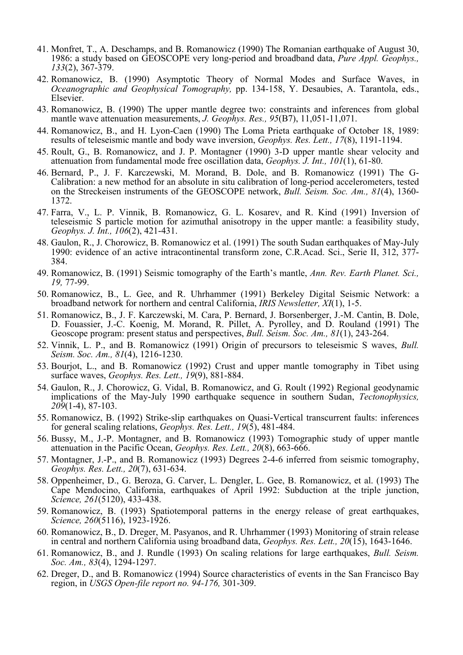- 41. Monfret, T., A. Deschamps, and B. Romanowicz (1990) The Romanian earthquake of August 30, 1986: a study based on GEOSCOPE very long-period and broadband data, *Pure Appl. Geophys., 133*(2), 367-379.
- 42. Romanowicz, B. (1990) Asymptotic Theory of Normal Modes and Surface Waves, in *Oceanographic and Geophysical Tomography,* pp. 134-158, Y. Desaubies, A. Tarantola, eds., Elsevier.
- 43. Romanowicz, B. (1990) The upper mantle degree two: constraints and inferences from global mantle wave attenuation measurements, *J. Geophys. Res., 95*(B7), 11,051-11,071.
- 44. Romanowicz, B., and H. Lyon-Caen (1990) The Loma Prieta earthquake of October 18, 1989: results of teleseismic mantle and body wave inversion, *Geophys. Res. Lett., 17*(8), 1191-1194.
- 45. Roult, G., B. Romanowicz, and J. P. Montagner (1990) 3-D upper mantle shear velocity and attenuation from fundamental mode free oscillation data, *Geophys. J. Int., 101*(1), 61-80.
- 46. Bernard, P., J. F. Karczewski, M. Morand, B. Dole, and B. Romanowicz (1991) The G- Calibration: a new method for an absolute in situ calibration of long-period accelerometers, tested on the Streckeisen instruments of the GEOSCOPE network, *Bull. Seism. Soc. Am., 81*(4), 1360- 1372.
- 47. Farra, V., L. P. Vinnik, B. Romanowicz, G. L. Kosarev, and R. Kind (1991) Inversion of teleseismic S particle motion for azimuthal anisotropy in the upper mantle: a feasibility study, *Geophys. J. Int., 106*(2), 421-431.
- 48. Gaulon, R., J. Chorowicz, B. Romanowicz et al. (1991) The south Sudan earthquakes of May-July 1990: evidence of an active intracontinental transform zone, C.R.Acad. Sci., Serie II, 312, 377- 384.
- 49. Romanowicz, B. (1991) Seismic tomography of the Earth's mantle, *Ann. Rev. Earth Planet. Sci., 19,* 77-99.
- 50. Romanowicz, B., L. Gee, and R. Uhrhammer (1991) Berkeley Digital Seismic Network: a broadband network for northern and central California, *IRIS Newsletter, XI*(1), 1-5.
- 51. Romanowicz, B., J. F. Karczewski, M. Cara, P. Bernard, J. Borsenberger, J.-M. Cantin, B. Dole, D. Fouassier, J.-C. Koenig, M. Morand, R. Pillet, A. Pyrolley, and D. Rouland (1991) The Geoscope program: present status and perspectives, *Bull. Seism. Soc. Am., 81*(1), 243-264.
- 52. Vinnik, L. P., and B. Romanowicz (1991) Origin of precursors to teleseismic S waves, *Bull. Seism. Soc. Am., 81*(4), 1216-1230.
- 53. Bourjot, L., and B. Romanowicz (1992) Crust and upper mantle tomography in Tibet using surface waves, *Geophys. Res. Lett., 19*(9), 881-884.
- 54. Gaulon, R., J. Chorowicz, G. Vidal, B. Romanowicz, and G. Roult (1992) Regional geodynamic implications of the May-July 1990 earthquake sequence in southern Sudan, *Tectonophysics*, *209*(1-4), 87-103.
- 55. Romanowicz, B. (1992) Strike-slip earthquakes on Quasi-Vertical transcurrent faults: inferences for general scaling relations, *Geophys. Res. Lett., 19*(5), 481-484.
- 56. Bussy, M., J.-P. Montagner, and B. Romanowicz (1993) Tomographic study of upper mantle attenuation in the Pacific Ocean, *Geophys. Res. Lett., 20*(8), 663-666.
- 57. Montagner, J.-P., and B. Romanowicz (1993) Degrees 2-4-6 inferred from seismic tomography, *Geophys. Res. Lett., 20*(7), 631-634.
- 58. Oppenheimer, D., G. Beroza, G. Carver, L. Dengler, L. Gee, B. Romanowicz, et al. (1993) The Cape Mendocino, California, earthquakes of April 1992: Subduction at the triple junction, *Science, 261*(5120), 433-438.
- 59. Romanowicz, B. (1993) Spatiotemporal patterns in the energy release of great earthquakes, *Science, 260*(5116), 1923-1926.
- 60. Romanowicz, B., D. Dreger, M. Pasyanos, and R. Uhrhammer (1993) Monitoring of strain release in central and northern California using broadband data, *Geophys. Res. Lett., 20*(15), 1643-1646.
- 61. Romanowicz, B., and J. Rundle (1993) On scaling relations for large earthquakes, *Bull. Seism. Soc. Am., 83*(4), 1294-1297.
- 62. Dreger, D., and B. Romanowicz (1994) Source characteristics of events in the San Francisco Bay region, in *USGS Open-file report no. 94-176,* 301-309.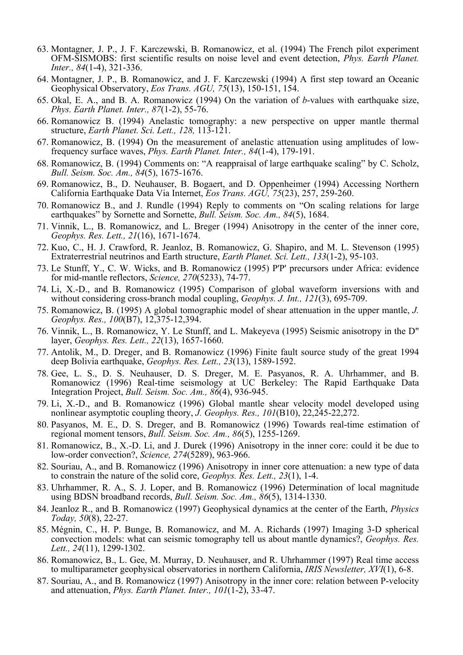- 63. Montagner, J. P., J. F. Karczewski, B. Romanowicz, et al. (1994) The French pilot experiment OFM-SISMOBS: first scientific results on noise level and event detection, *Phys. Earth Planet. Inter., 84*(1-4), 321-336.
- 64. Montagner, J. P., B. Romanowicz, and J. F. Karczewski (1994) A first step toward an Oceanic Geophysical Observatory, *Eos Trans. AGU, 75*(13), 150-151, 154.
- 65. Okal, E. A., and B. A. Romanowicz (1994) On the variation of *b*-values with earthquake size, *Phys. Earth Planet. Inter., 87*(1-2), 55-76.
- 66. Romanowicz B. (1994) Anelastic tomography: a new perspective on upper mantle thermal structure, *Earth Planet. Sci. Lett., 128,* 113-121.
- 67. Romanowicz, B. (1994) On the measurement of anelastic attenuation using amplitudes of low- frequency surface waves, *Phys. Earth Planet. Inter., 84*(1-4), 179-191.
- 68. Romanowicz, B. (1994) Comments on: "A reappraisal of large earthquake scaling" by C. Scholz, *Bull. Seism. Soc. Am., 84*(5), 1675-1676.
- 69. Romanowicz, B., D. Neuhauser, B. Bogaert, and D. Oppenheimer (1994) Accessing Northern California Earthquake Data Via Internet, *Eos Trans. AGU, 75*(23), 257, 259-260.
- 70. Romanowicz B., and J. Rundle (1994) Reply to comments on "On scaling relations for large earthquakes" by Sornette and Sornette, *Bull. Seism. Soc. Am., 84*(5), 1684.
- 71. Vinnik, L., B. Romanowicz, and L. Breger (1994) Anisotropy in the center of the inner core, *Geophys. Res. Lett., 21*(16), 1671-1674.
- 72. Kuo, C., H. J. Crawford, R. Jeanloz, B. Romanowicz, G. Shapiro, and M. L. Stevenson (1995) Extraterrestrial neutrinos and Earth structure, *Earth Planet. Sci. Lett., 133*(1-2), 95-103.
- 73. Le Stunff, Y., C. W. Wicks, and B. Romanowicz (1995) P'P' precursors under Africa: evidence for mid-mantle reflectors, *Science, 270*(5233), 74-77.
- 74. Li, X.-D., and B. Romanowicz (1995) Comparison of global waveform inversions with and without considering cross-branch modal coupling, *Geophys. J. Int., 121*(3), 695-709.
- 75. Romanowicz, B. (1995) A global tomographic model of shear attenuation in the upper mantle, *J. Geophys. Res., 100*(B7), 12,375-12,394.
- 76. Vinnik, L., B. Romanowicz, Y. Le Stunff, and L. Makeyeva (1995) Seismic anisotropy in the D" layer, *Geophys. Res. Lett., 22*(13), 1657-1660.
- 77. Antolik, M., D. Dreger, and B. Romanowicz (1996) Finite fault source study of the great 1994 deep Bolivia earthquake, *Geophys. Res. Lett., 23*(13), 1589-1592.
- 78. Gee, L. S., D. S. Neuhauser, D. S. Dreger, M. E. Pasyanos, R. A. Uhrhammer, and B. Romanowicz (1996) Real-time seismology at UC Berkeley: The Rapid Earthquake Data Integration Project, *Bull. Seism. Soc. Am., 86*(4), 936-945.
- 79. Li, X.-D., and B. Romanowicz (1996) Global mantle shear velocity model developed using nonlinear asymptotic coupling theory, *J. Geophys. Res., 101*(B10), 22,245-22,272.
- 80. Pasyanos, M. E., D. S. Dreger, and B. Romanowicz (1996) Towards real-time estimation of regional moment tensors, *Bull. Seism. Soc. Am., 86*(5), 1255-1269.
- 81. Romanowicz, B., X.-D. Li, and J. Durek (1996) Anisotropy in the inner core: could it be due to low-order convection?, *Science, 274*(5289), 963-966.
- 82. Souriau, A., and B. Romanowicz (1996) Anisotropy in inner core attenuation: a new type of data to constrain the nature of the solid core, *Geophys. Res. Lett., 23*(1), 1-4.
- 83. Uhrhammer, R. A., S. J. Loper, and B. Romanowicz (1996) Determination of local magnitude using BDSN broadband records, *Bull. Seism. Soc. Am., 86*(5), 1314-1330.
- 84. Jeanloz R., and B. Romanowicz (1997) Geophysical dynamics at the center of the Earth, *Physics Today, 50*(8), 22-27.
- 85. Mégnin, C., H. P. Bunge, B. Romanowicz, and M. A. Richards (1997) Imaging 3-D spherical convection models: what can seismic tomography tell us about mantle dynamics?, *Geophys. Res. Lett., 24*(11), 1299-1302.
- 86. Romanowicz, B., L. Gee, M. Murray, D. Neuhauser, and R. Uhrhammer (1997) Real time access to multiparameter geophysical observatories in northern California, *IRIS Newsletter, XVI*(1), 6-8.
- 87. Souriau, A., and B. Romanowicz (1997) Anisotropy in the inner core: relation between P-velocity and attenuation, *Phys. Earth Planet. Inter., 101*(1-2), 33-47.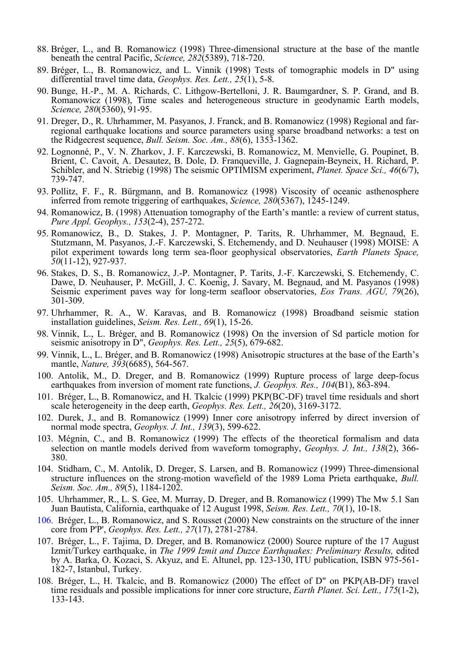- 88. Bréger, L., and B. Romanowicz (1998) Three-dimensional structure at the base of the mantle beneath the central Pacific, *Science, 282*(5389), 718-720.
- 89. Bréger, L., B. Romanowicz, and L. Vinnik (1998) Tests of tomographic models in D" using differential travel time data, *Geophys. Res. Lett., 25*(1), 5-8.
- 90. Bunge, H.-P., M. A. Richards, C. Lithgow-Bertelloni, J. R. Baumgardner, S. P. Grand, and B. Romanowicz (1998), Time scales and heterogeneous structure in geodynamic Earth models, *Science, 280*(5360), 91-95.
- 91. Dreger, D., R. Uhrhammer, M. Pasyanos, J. Franck, and B. Romanowicz (1998) Regional and far- regional earthquake locations and source parameters using sparse broadband networks: a test on the Ridgecrest sequence, *Bull. Seism. Soc. Am., 88*(6), 1353-1362.
- 92. Lognonné, P., V. N. Zharkov, J. F. Karczewski, B. Romanowicz, M. Menvielle, G. Poupinet, B. Brient, C. Cavoit, A. Desautez, B. Dole, D. Franqueville, J. Gagnepain-Beyneix, H. Richard, P. Schibler, and N. Striebig (1998) The seismic OPTIMISM experiment, *Planet. Space Sci., 46*(6/7), 739-747.
- 93. Pollitz, F. F., R. Bürgmann, and B. Romanowicz (1998) Viscosity of oceanic asthenosphere inferred from remote triggering of earthquakes, *Science, 280*(5367), 1245-1249.
- 94. Romanowicz, B. (1998) Attenuation tomography of the Earth's mantle: a review of current status, *Pure Appl. Geophys., 153*(2-4), 257-272.
- 95. Romanowicz, B., D. Stakes, J. P. Montagner, P. Tarits, R. Uhrhammer, M. Begnaud, E. Stutzmann, M. Pasyanos, J.-F. Karczewski, S. Etchemendy, and D. Neuhauser (1998) MOISE: A pilot experiment towards long term sea-floor geophysical observatories, *Earth Planets Space, 50*(11-12), 927-937.
- 96. Stakes, D. S., B. Romanowicz, J.-P. Montagner, P. Tarits, J.-F. Karczewski, S. Etchemendy, C. Dawe, D. Neuhauser, P. McGill, J. C. Koenig, J. Savary, M. Begnaud, and M. Pasyanos (1998) Seismic experiment paves way for long-term seafloor observatories, *Eos Trans. AGU, 79*(26), 301-309.
- 97. Uhrhammer, R. A., W. Karavas, and B. Romanowicz (1998) Broadband seismic station installation guidelines, *Seism. Res. Lett., 69*(1), 15-26.
- 98. Vinnik, L., L. Bréger, and B. Romanowicz (1998) On the inversion of Sd particle motion for seismic anisotropy in D", *Geophys. Res. Lett., 25*(5), 679-682.
- 99. Vinnik, L., L. Bréger, and B. Romanowicz (1998) Anisotropic structures at the base of the Earth's mantle, *Nature, 393*(6685), 564-567.
- 100. Antolik, M., D. Dreger, and B. Romanowicz (1999) Rupture process of large deep-focus earthquakes from inversion of moment rate functions, *J. Geophys. Res., 104*(B1), 863-894.
- 101. Bréger, L., B. Romanowicz, and H. Tkalcic (1999) PKP(BC-DF) travel time residuals and short scale heterogeneity in the deep earth, *Geophys. Res. Lett., 26*(20), 3169-3172.
- 102. Durek, J., and B. Romanowicz (1999) Inner core anisotropy inferred by direct inversion of normal mode spectra, *Geophys. J. Int., 139*(3), 599-622.
- 103. Mégnin, C., and B. Romanowicz (1999) The effects of the theoretical formalism and data selection on mantle models derived from waveform tomography, *Geophys. J. Int., 138(2)*, 366-380.
- 104. Stidham, C., M. Antolik, D. Dreger, S. Larsen, and B. Romanowicz (1999) Three-dimensional structure influences on the strong-motion wavefield of the 1989 Loma Prieta earthquake, *Bull. Seism. Soc. Am., 89*(5), 1184-1202.
- 105. Uhrhammer, R., L. S. Gee, M. Murray, D. Dreger, and B. Romanowicz (1999) The Mw 5.1 San Juan Bautista, California, earthquake of 12 August 1998, *Seism. Res. Lett., 70*(1), 10-18.
- 106. Bréger, L., B. Romanowicz, and S. Rousset (2000) New constraints on the structure of the inner core from P'P', *Geophys. Res. Lett., 27*(17), 2781-2784.
- 107. Bréger, L., F. Tajima, D. Dreger, and B. Romanowicz (2000) Source rupture of the 17 August Izmit/Turkey earthquake, in *The 1999 Izmit and Duzce Earthquakes: Preliminary Results,* edited by A. Barka, O. Kozaci, S. Akyuz, and E. Altunel, pp. 123-130, ITU publication, ISBN 975-561- 182-7, Istanbul, Turkey.
- 108. Bréger, L., H. Tkalcic, and B. Romanowicz (2000) The effect of D" on PKP(AB-DF) travel time residuals and possible implications for inner core structure, *Earth Planet. Sci. Lett., 175*(1-2), 133-143.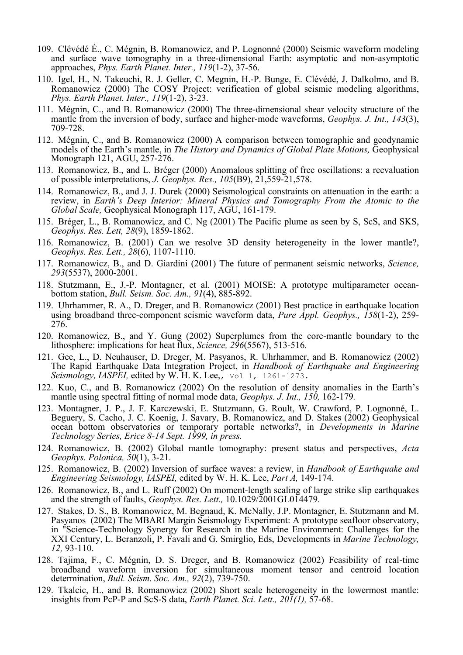- 109. Clévédé É., C. Mégnin, B. Romanowicz, and P. Lognonné (2000) Seismic waveform modeling and surface wave tomography in a three-dimensional Earth: asymptotic and non-asymptotic approaches, *Phys. Earth Planet. Inter., 119*(1-2), 37-56.
- 110. Igel, H., N. Takeuchi, R. J. Geller, C. Megnin, H.-P. Bunge, E. Clévédé, J. Dalkolmo, and B. Romanowicz (2000) The COSY Project: verification of global seismic modeling algorithms, *Phys. Earth Planet. Inter., 119*(1-2), 3-23.
- 111. Mégnin, C., and B. Romanowicz (2000) The three-dimensional shear velocity structure of the mantle from the inversion of body, surface and higher-mode waveforms, *Geophys. J. Int., 143*(3), 709-728.
- 112. Mégnin, C., and B. Romanowicz (2000) A comparison between tomographic and geodynamic models of the Earth's mantle, in *The History and Dynamics of Global Plate Motions,* Geophysical Monograph 121, AGU, 257-276.
- 113. Romanowicz, B., and L. Bréger (2000) Anomalous splitting of free oscillations: a reevaluation of possible interpretations, *J. Geophys. Res., 105*(B9), 21,559-21,578.
- 114. Romanowicz, B., and J. J. Durek (2000) Seismological constraints on attenuation in the earth: a review, in *Earth's Deep Interior: Mineral Physics and Tomography From the Atomic to the Global Scale,* Geophysical Monograph 117, AGU, 161-179.
- 115. Bréger, L., B. Romanowicz, and C. Ng (2001) The Pacific plume as seen by S, ScS, and SKS, *Geophys. Res. Lett, 28*(9), 1859-1862.
- 116. Romanowicz, B. (2001) Can we resolve 3D density heterogeneity in the lower mantle?, *Geophys. Res. Lett., 28*(6), 1107-1110.
- 117. Romanowicz, B., and D. Giardini (2001) The future of permanent seismic networks, *Science, 293*(5537), 2000-2001.
- 118. Stutzmann, E., J.-P. Montagner, et al. (2001) MOISE: A prototype multiparameter ocean- bottom station, *Bull. Seism. Soc. Am., 91*(4), 885-892.
- 119. Uhrhammer, R. A., D. Dreger, and B. Romanowicz (2001) Best practice in earthquake location using broadband three-component seismic waveform data, *Pure Appl. Geophys.*, 158(1-2), 259-<br>276.
- 120. Romanowicz, B., and Y. Gung (2002) Superplumes from the core-mantle boundary to the lithosphere: implications for heat flux, *Science, 296*(5567), 513-516*.*
- 121. Gee, L., D. Neuhauser, D. Dreger, M. Pasyanos, R. Uhrhammer, and B. Romanowicz (2002) The Rapid Earthquake Data Integration Project, in *Handbook of Earthquake and Engineering Seismology, IASPEI,* edited by W. H. K. Lee,, vol 1, 1261-1273.
- 122. Kuo, C., and B. Romanowicz (2002) On the resolution of density anomalies in the Earth's mantle using spectral fitting of normal mode data, *Geophys. J. Int., 150,* 162-179*.*
- 123. Montagner, J. P., J. F. Karczewski, E. Stutzmann, G. Roult, W. Crawford, P. Lognonné, L. Beguery, S. Cacho, J. C. Koenig, J. Savary, B. Romanowicz, and D. Stakes (2002) Geophysical ocean bottom observatories or temporary portable networks?, in *Developments in Marine Technology Series, Erice 8-14 Sept. 1999, in press.*
- 124. Romanowicz, B. (2002) Global mantle tomography: present status and perspectives, *Acta Geophys. Polonica, 50*(1), 3-21.
- 125. Romanowicz, B. (2002) Inversion of surface waves: a review, in *Handbook of Earthquake and Engineering Seismology, IASPEI,* edited by W. H. K. Lee, *Part A,* 149-174.
- 126. Romanowicz, B., and L. Ruff (2002) On moment-length scaling of large strike slip earthquakes and the strength of faults, *Geophys. Res. Lett.,* 10.1029/2001GL014479.
- 127. Stakes, D. S., B. Romanowicz, M. Begnaud, K. McNally, J.P. Montagner, E. Stutzmann and M. Pasyanos (2002) The MBARI Margin Seismology Experiment: A prototype seafloor observatory, in "Science-Technology Synergy for Research in the Marine Environment: Challenges for the XXI Century, L. Beranzoli, P. Favali and G. Smirglio, Eds, Developments in *Marine Technology, 12,* 93-110.
- 128. Tajima, F., C. Mégnin, D. S. Dreger, and B. Romanowicz (2002) Feasibility of real-time broadband waveform inversion for simultaneous moment tensor and centroid location determination, *Bull. Seism. Soc. Am., 92*(2), 739-750.
- 129. Tkalcic, H., and B. Romanowicz (2002) Short scale heterogeneity in the lowermost mantle: insights from PcP-P and ScS-S data, *Earth Planet. Sci. Lett., 201(1),* 57-68.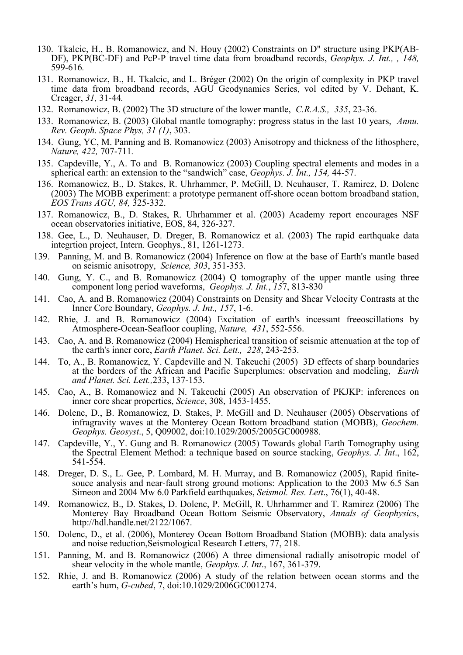- 130. Tkalcic, H., B. Romanowicz, and N. Houy (2002) Constraints on D" structure using PKP(AB-DF), PKP(BC-DF) and PcP-P travel time data from broadband records, *Geophys. J. Int., , 148,*  599-616*.*
- 131. Romanowicz, B., H. Tkalcic, and L. Bréger (2002) On the origin of complexity in PKP travel time data from broadband records, AGU Geodynamics Series, vol edited by V. Dehant, K. Creager, *31,* 31-44*.*
- 132. Romanowicz, B. (2002) The 3D structure of the lower mantle, *C.R.A.S., 335*, 23-36.
- 133. Romanowicz, B. (2003) Global mantle tomography: progress status in the last 10 years, *Annu. Rev. Geoph. Space Phys, 31 (1)*, 303.
- 134. Gung, YC, M. Panning and B. Romanowicz (2003) Anisotropy and thickness of the lithosphere, *Nature, 422,* 707-711*.*
- 135. Capdeville, Y., A. To and B. Romanowicz (2003) Coupling spectral elements and modes in a spherical earth: an extension to the "sandwich" case, *Geophys. J. Int., 154,* 44-57.
- 136. Romanowicz, B., D. Stakes, R. Uhrhammer, P. McGill, D. Neuhauser, T. Ramirez, D. Dolenc (2003) The MOBB experiment: a prototype permanent off-shore ocean bottom broadband station, *EOS Trans AGU, 84,* 325-332.
- 137. Romanowicz, B., D. Stakes, R. Uhrhammer et al. (2003) Academy report encourages NSF ocean observatories initiative, EOS, 84, 326-327.
- 138. Gee, L., D. Neuhauser, D. Dreger, B. Romanowicz et al. (2003) The rapid earthquake data integrtion project, Intern. Geophys., 81, 1261-1273.
- 139. Panning, M. and B. Romanowicz (2004) Inference on flow at the base of Earth's mantle based on seismic anisotropy, *Science, 303*, 351-353.
- 140. Gung, Y. C., and B. Romanowicz (2004) Q tomography of the upper mantle using three component long period waveforms, *Geophys. J. Int.*, *15*7, 813-830
- 141. Cao, A. and B. Romanowicz (2004) Constraints on Density and Shear Velocity Contrasts at the Inner Core Boundary, *Geophys. J. Int., 157*, 1-6.
- 142. Rhie, J. and B. Romanowicz (2004) Excitation of earth's incessant freeoscillations by Atmosphere-Ocean-Seafloor coupling, *Nature, 431*, 552-556.
- 143. Cao, A. and B. Romanowicz (2004) Hemispherical transition of seismic attenuation at the top of the earth's inner core, *Earth Planet. Sci. Lett., 228*, 243-253.
- 144. To, A., B. Romanowicz, Y. Capdeville and N. Takeuchi (2005) 3D effects of sharp boundaries at the borders of the African and Pacific Superplumes: observation and modeling, *Earth and Planet. Sci. Lett.,*233, 137-153.
- 145. Cao, A., B. Romanowicz and N. Takeuchi (2005) An observation of PKJKP: inferences on inner core shear properties, *Science*, 308, 1453-1455.
- 146. Dolenc, D., B. Romanowicz, D. Stakes, P. McGill and D. Neuhauser (2005) Observations of infragravity waves at the Monterey Ocean Bottom broadband station (MOBB), *Geochem. Geophys. Geosyst*., 5, Q09002, doi:10.1029/2005/2005GC000988.
- 147. Capdeville, Y., Y. Gung and B. Romanowicz (2005) Towards global Earth Tomography using the Spectral Element Method: a technique based on source stacking, *Geophys. J. Int*., 162, 541-554.
- 148. Dreger, D. S., L. Gee, P. Lombard, M. H. Murray, and B. Romanowicz (2005), Rapid finite- souce analysis and near-fault strong ground motions: Application to the 2003 Mw 6.5 San Simeon and 2004 Mw 6.0 Parkfield earthquakes, *Seismol. Res. Lett*., 76(1), 40-48.
- 149. Romanowicz, B., D. Stakes, D. Dolenc, P. McGill, R. Uhrhammer and T. Ramirez (2006) The Monterey Bay Broadband Ocean Bottom Seismic Observatory, *Annals of Geophysic*s, http://hdl.handle.net/2122/1067.
- 150. Dolenc, D., et al. (2006), Monterey Ocean Bottom Broadband Station (MOBB): data analysis and noise reduction,Seismological Research Letters, 77, 218.
- 151. Panning, M. and B. Romanowicz (2006) A three dimensional radially anisotropic model of shear velocity in the whole mantle, *Geophys. J. Int*., 167, 361-379.
- 152. Rhie, J. and B. Romanowicz (2006) A study of the relation between ocean storms and the earth's hum, *G-cubed*, 7, doi:10.1029/2006GC001274.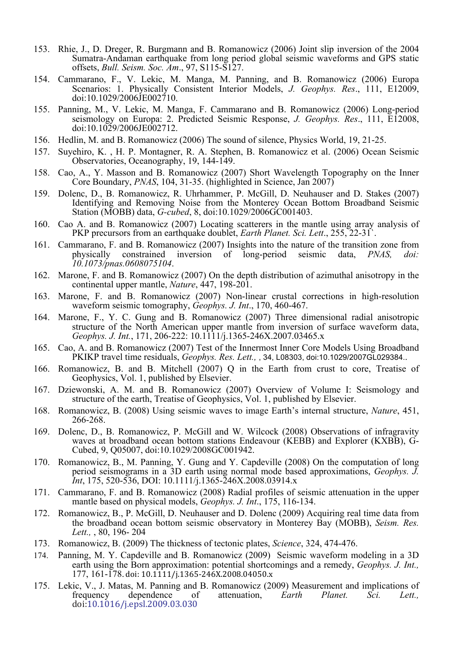- 153. Rhie, J., D. Dreger, R. Burgmann and B. Romanowicz (2006) Joint slip inversion of the 2004 Sumatra-Andaman earthquake from long period global seismic waveforms and GPS static offsets, *Bull. Seism. Soc. Am*., 97, S115-S127.
- 154. Cammarano, F., V. Lekic, M. Manga, M. Panning, and B. Romanowicz (2006) Europa Scenarios: 1. Physically Consistent Interior Models, *J. Geophys. Res*., 111, E12009, doi:10.1029/2006JE002710.
- 155. Panning, M., V. Lekic, M. Manga, F. Cammarano and B. Romanowicz (2006) Long-period seismology on Europa: 2. Predicted Seismic Response, *J. Geophys. Res*., 111, E12008, doi:10.1029/2006JE002712.
- 156. Hedlin, M. and B. Romanowicz (2006) The sound of silence, Physics World, 19, 21-25.
- 157. Suyehiro, K. , H. P. Montagner, R. A. Stephen, B. Romanowicz et al. (2006) Ocean Seismic Observatories, Oceanography, 19, 144-149.
- 158. Cao, A., Y. Masson and B. Romanowicz (2007) Short Wavelength Topography on the Inner Core Boundary, *PNAS*, 104, 31-35. (highlighted in Science, Jan 2007)
- 159. Dolenc, D., B. Romanowicz, R. Uhrhammer, P. McGill, D. Neuhauser and D. Stakes (2007) Identifying and Removing Noise from the Monterey Ocean Bottom Broadband Seismic Station (MOBB) data, *G-cubed*, 8, doi:10.1029/2006GC001403.
- 160. Cao A. and B. Romanowicz (2007) Locating scatterers in the mantle using array analysis of PKP precursors from an earthquake doublet, *Earth Planet. Sci. Lett*., 255, 22-31`.
- 161. Cammarano, F. and B. Romanowicz (2007) Insights into the nature of the transition zone from physically constrained inversion of long-period seismic data, *PNAS*, *doi*: physically constrained inversion of long-period seismic data, *PNAS, doi: 10.1073/pnas.0608075104*.
- 162. Marone, F. and B. Romanowicz (2007) On the depth distribution of azimuthal anisotropy in the continental upper mantle, *Nature*, 447, 198-201.
- 163. Marone, F. and B. Romanowicz (2007) Non-linear crustal corrections in high-resolution waveform seismic tomography, *Geophys. J. Int*., 170, 460-467.
- 164. Marone, F., Y. C. Gung and B. Romanowicz (2007) Three dimensional radial anisotropic structure of the North American upper mantle from inversion of surface waveform data, *Geophys. J. Int.*, 171, 206-222: 10.1111/j.1365-246X.2007.03465.x
- 165. Cao, A. and B. Romanowicz (2007) Test of the Innermost Inner Core Models Using Broadband PKIKP travel time residuals, *Geophys. Res. Lett.,* , 34, L08303, doi:10.1029/2007GL029384..
- 166. Romanowicz, B. and B. Mitchell (2007) Q in the Earth from crust to core, Treatise of Geophysics, Vol. 1, published by Elsevier.
- 167. Dziewonski, A. M. and B. Romanowicz (2007) Overview of Volume I: Seismology and structure of the earth, Treatise of Geophysics, Vol. 1, published by Elsevier.
- 168. Romanowicz, B. (2008) Using seismic waves to image Earth's internal structure, *Nature*, 451, 266-268.
- 169. Dolenc, D., B. Romanowicz, P. McGill and W. Wilcock (2008) Observations of infragravity waves at broadband ocean bottom stations Endeavour (KEBB) and Explorer (KXBB), G-Cubed, 9, Q05007, doi:10.1029/2008GC001942.
- 170. Romanowicz, B., M. Panning, Y. Gung and Y. Capdeville (2008) On the computation of long period seismograms in a 3D earth using normal mode based approximations, *Geophys. J. Int*, 175, 520-536, DOI: 10.1111/j.1365-246X.2008.03914.x
- 171. Cammarano, F. and B. Romanowicz (2008) Radial profiles of seismic attenuation in the upper mantle based on physical models, *Geophys. J. Int*., 175, 116-134.
- 172. Romanowicz, B., P. McGill, D. Neuhauser and D. Dolenc (2009) Acquiring real time data from the broadband ocean bottom seismic observatory in Monterey Bay (MOBB), *Seism. Res. Lett.,* , 80, 196- 204
- 173. Romanowicz, B. (2009) The thickness of tectonic plates, *Science*, 324, 474-476.
- 174. Panning, M. Y. Capdeville and B. Romanowicz (2009) Seismic waveform modeling in a 3D earth using the Born approximation: potential shortcomings and a remedy, *Geophys. J. Int.,* 177, 161-178. doi: 10.1111/j.1365-246X.2008.04050.x
- 175. Lekic, V., J. Matas, M. Panning and B. Romanowicz (2009) Measurement and implications of frequency dependence of attenuation. *Earth Planet. Sci. Lett.* frequency dependence of attenuation, *Earth Planet. Sci. Lett.,* doi:10.1016/j.epsl.2009.03.030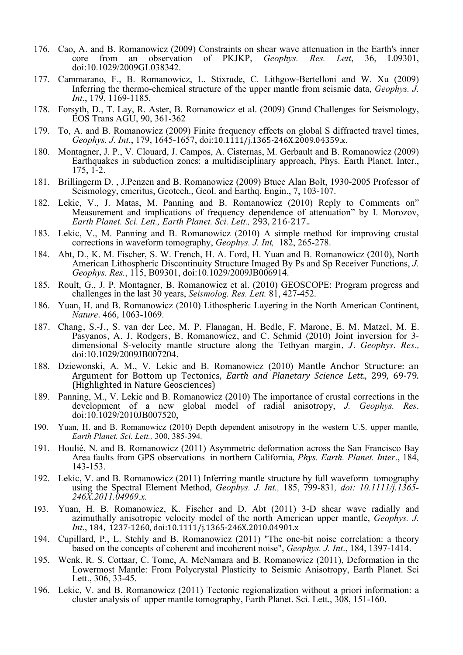- 176. Cao, A. and B. Romanowicz (2009) Constraints on shear wave attenuation in the Earth's inner<br>core from an observation of PKJKP. *Geophys. Res. Lett.* 36, 109301. core from an observation of PKJKP, *Geophys.* doi:10.1029/2009GL038342.
- 177. Cammarano, F., B. Romanowicz, L. Stixrude, C. Lithgow-Bertelloni and W. Xu (2009) Inferring the thermo-chemical structure of the upper mantle from seismic data, *Geophys. J. Int*., 179, 1169-1185.
- 178. Forsyth, D., T. Lay, R. Aster, B. Romanowicz et al. (2009) Grand Challenges for Seismology, EOS Trans AGU, 90, 361-362
- 179. To, A. and B. Romanowicz (2009) Finite frequency effects on global S diffracted travel times, *Geophys. J. Int.*, 179, 1645-1657, doi:10.1111/j.1365-246X.2009.04359.x.
- 180. Montagner, J. P., V. Clouard, J. Campos, A. Cisternas, M. Gerbault and B. Romanowicz (2009) Earthquakes in subduction zones: a multidisciplinary approach, Phys. Earth Planet. Inter., 175, 1-2.
- 181. Brillingerm D. , J.Penzen and B. Romanowicz (2009) Btuce Alan Bolt, 1930-2005 Professor of Seismology, emeritus, Geotech., Geol. and Earthq. Engin., 7, 103-107.
- 182. Lekic, V., J. Matas, M. Panning and B. Romanowicz (2010) Reply to Comments on" Measurement and implications of frequency dependence of attenuation" by I. Morozov, *Earth Planet. Sci. Lett., Earth Planet. Sci. Lett.,* 293, 216-217..
- 183. Lekic, V., M. Panning and B. Romanowicz (2010) A simple method for improving crustal corrections in waveform tomography, *Geophys. J. Int,* 182, 265-278.
- 184. Abt, D., K. M. Fischer, S. W. French, H. A. Ford, H. Yuan and B. Romanowicz (2010), North American Lithospheric Discontinuity Structure Imaged By Ps and Sp Receiver Functions, *J. Geophys. Res.*, 115, B09301, doi:10.1029/2009JB006914.
- 185. Roult, G., J. P. Montagner, B. Romanowicz et al. (2010) GEOSCOPE: Program progress and challenges in the last 30 years, *Seismolog. Res. Lett.* 81, 427-452.
- 186. Yuan, H. and B. Romanowicz (2010) Lithospheric Layering in the North American Continent, *Nature*. 466, 1063-1069.
- 187. Chang, S.-J., S. van der Lee, M. P. Flanagan, H. Bedle, F. Marone, E. M. Matzel, M. E. Pasyanos, A. J. Rodgers, B. Romanowicz, and C. Schmid (2010) Joint inversion for 3 dimensional S-velocity mantle structure along the Tethyan margin, *J. Geophys. Res.,* doi:10.1029/2009JB007204.
- 188. Dziewonski, A. M., V. Lekic and B. Romanowicz (2010) Mantle Anchor Structure: an Argument for Bottom up Tectonics, *Earth and Planetary Science Lett.*, 299, 69-79. (Highlighted in Nature Geosciences)
- 189. Panning, M., V. Lekic and B. Romanowicz (2010) The importance of crustal corrections in the development of a new global model of radial anisotropy, *J. Geophys. Res*. doi:10.1029/2010JB007520,
- 190. Yuan, H. and B. Romanowicz (2010) Depth dependent anisotropy in the western U.S. upper mantle*, Earth Planet. Sci. Lett.,* 300, 385-394*.*
- 191. Houlié, N. and B. Romanowicz (2011) Asymmetric deformation across the San Francisco Bay Area faults from GPS observations in northern California, *Phys. Earth. Planet. Inter*., 184, 143-153.
- 192. Lekic, V. and B. Romanowicz (2011) Inferring mantle structure by full waveform tomography using the Spectral Element Method, *Geophys. J. Int.,* 185, 799-831*, doi: 10.1111/j.1365- 246X.2011.04969.x.*
- 193. Yuan, H. B. Romanowicz, K. Fischer and D. Abt (2011) 3-D shear wave radially and azimuthally anisotropic velocity model of the north American upper mantle, *Geophys. J. Int.*, 184, 1237-1260, doi:10.1111/j.1365-246X.2010.04901.x
- 194. Cupillard, P., L. Stehly and B. Romanowicz (2011) "The one-bit noise correlation: a theory based on the concepts of coherent and incoherent noise", *Geophys. J. Int*., 184, 1397-1414.
- 195. Wenk, R. S. Cottaar, C. Tome, A. McNamara and B. Romanowicz (2011), Deformation in the Lowermost Mantle: From Polycrystal Plasticity to Seismic Anisotropy, Earth Planet. Sci Lett., 306, 33-45.
- 196. Lekic, V. and B. Romanowicz (2011) Tectonic regionalization without a priori information: a cluster analysis of upper mantle tomography, Earth Planet. Sci. Lett., 308, 151-160.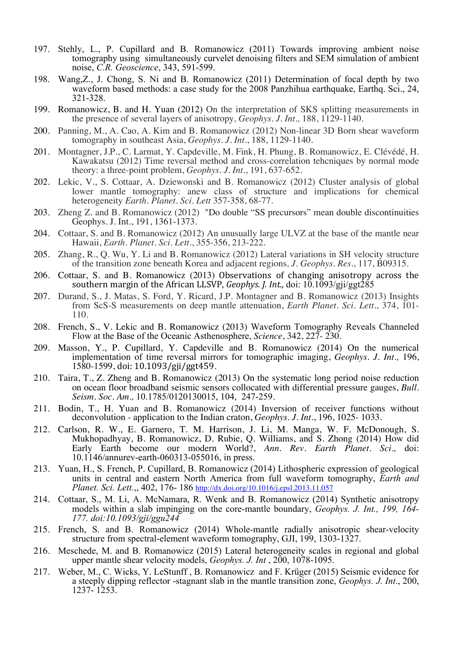- 197. Stehly, L., P. Cupillard and B. Romanowicz (2011) Towards improving ambient noise tomography using simultaneously curvelet denoising filters and SEM simulation of ambient noise, *C.R. Geoscience*, 343, 591-599.
- 198. Wang,Z., J. Chong, S. Ni and B. Romanowicz (2011) Determination of focal depth by two waveform based methods: a case study for the 2008 Panzhihua earthquake, Earthq. Sci., 24, 321-328.
- 199. Romanowicz, B. and H. Yuan (2012) On the interpretation of SKS splitting measurements in the presence of several layers of anisotropy*, Geophys. J. Int.,* 188, 1129-1140.
- 200. Panning, M., A. Cao, A. Kim and B. Romanowicz (2012) Non-linear 3D Born shear waveform tomography in southeast Asia, *Geophys. J. Int*., 188, 1129-1140.
- 201. Montagner, J.P., C. Larmat, Y. Capdeville, M. Fink, H. Phung, B. Romanowicz, E. Clévédé, H. Kawakatsu (2012) Time reversal method and cross-correlation tehcniques by normal mode theory: a three-point problem, *Geophys. J. Int*., 191, 637-652.
- 202. Lekic, V., S. Cottaar, A. Dziewonski and B. Romanowicz (2012) Cluster analysis of global lower mantle tomography: anew class of structure and implications for chemical heterogeneity *Earth. Planet. Sci. Lett* 357-358, 68-77.
- 203. Zheng Z. and B. Romanowicz (2012) "Do double "SS precursors" mean double discontinuities Geophys. J. Int., 191, 1361-1373.
- 204. Cottaar, S. and B. Romanowicz (2012) An unusually large ULVZ at the base of the mantle near Hawaii, *Earth. Planet. Sci. Lett*., 355-356, 213-222.
- 205. Zhang, R., Q. Wu, Y. Li and B. Romanowicz (2012) Lateral variations in SH velocity structure of the transition zone beneath Korea and adjacent regions*, J. Geophys. Res*., 117, B09315.
- 206. Cottaar, S. and B. Romanowicz (2013) Observations of changing anisotropy across the southern margin of the African LLSVP, *Geophys. J. Int.*, doi: 10.1093/gji/ggt285
- 207. Durand, S., J. Matas, S. Ford, Y. Ricard, J.P. Montagner and B. Romanowicz (2013) Insights from ScS-S measurements on deep mantle attenuation, *Earth Planet. Sci. Lett*., 374, 101- 110.
- 208. French, S., V. Lekic and B. Romanowicz (2013) Waveform Tomography Reveals Channeled Flow at the Base of the Oceanic Asthenosphere, *Science*, 342, 227- 230.
- 209. Masson, Y., P. Cupillard, Y. Capdeville and B. Romanowicz (2014) On the numerical implementation of time reversal mirrors for tomographic imaging, *Geophys. J. Int.,* 196, 1580-1599, doi: 10.1093/gji/ggt459.
- 210. Taira, T., Z. Zheng and B. Romanowicz (2013) On the systematic long period noise reduction on ocean floor broadband seismic sensors collocated with differential pressure gauges, *Bull. Seism. Soc. Am.,* 10.1785/0120130015, 104, 247-259.
- 211. Bodin, T., H. Yuan and B. Romanowicz (2014) Inversion of receiver functions without deconvolution - application to the Indian craton, *Geophys. J. Int*., 196, 1025- 1033.
- 212. Carlson, R. W., E. Garnero, T. M. Harrison, J. Li, M. Manga, W. F. McDonough, S. Mukhopadhyay, B. Romanowicz, D. Rubie, Q. Williams, and S. Zhong (2014) How did Early Earth become our modern World?, *Ann. Rev. Earth Planet. Sci.,* doi: 10.1146/annurev-earth-060313-055016, in press.
- 213. Yuan, H., S. French, P. Cupillard, B. Romanowicz (2014) Lithospheric expression of geological units in central and eastern North America from full waveform tomography, *Earth and Planet. Sci. Lett.*,, 402, 176- 186 http://dx.doi.org/10.1016/j.epsl.2013.11.057
- 214. Cottaar, S., M. Li, A. McNamara, R. Wenk and B. Romanowicz (2014) Synthetic anisotropy models within a slab impinging on the core-mantle boundary, *Geophys. J. Int., 199, 164- 177. doi:10.1093/gji/ggu244*
- 215. French, S. and B. Romanowicz (2014) Whole-mantle radially anisotropic shear-velocity structure from spectral-element waveform tomography, GJI, 199, 1303-1327.
- 216. Meschede, M. and B. Romanowicz (2015) Lateral heterogeneity scales in regional and global upper mantle shear velocity models, *Geophys. J. Int*, 200, 1078-1095.
- 217. Weber, M., C. Wicks, Y. LeStunff , B. Romanowicz and F. Krüger (2015) Seismic evidence for a steeply dipping reflector -stagnant slab in the mantle transition zone, *Geophys. J. Int*., 200, 1237- 1253.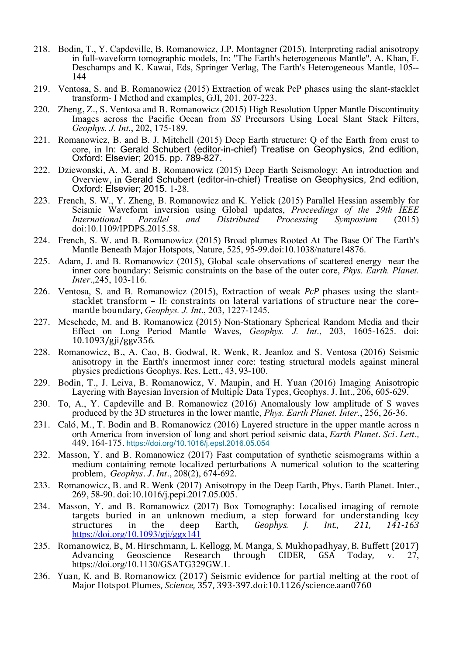- 218. Bodin, T., Y. Capdeville, B. Romanowicz, J.P. Montagner (2015). Interpreting radial anisotropy in full-waveform tomographic models, In: "The Earth's heterogeneous Mantle", A. Khan, F. Deschamps and K. Kawai, Eds, Springer Verlag, The Earth's Heterogeneous Mantle, 105-- <sup>144</sup>
- 219. Ventosa, S. and B. Romanowicz (2015) Extraction of weak PcP phases using the slant-stacklet transform- I Method and examples, GJI, 201, 207-223.
- 220. Zheng, Z., S. Ventosa and B. Romanowicz (2015) High Resolution Upper Mantle Discontinuity Images across the Pacific Ocean from *SS* Precursors Using Local Slant Stack Filters, *Geophys. J. Int*., 202, 175-189.
- 221. Romanowicz, B. and B. J. Mitchell (2015) Deep Earth structure: Q of the Earth from crust to core, in In: Gerald Schubert (editor-in-chief) Treatise on Geophysics, 2nd edition, Oxford: Elsevier; 2015. pp. 789-827.
- 222. Dziewonski, A. M. and B. Romanowicz (2015) Deep Earth Seismology: An introduction and Overview, in Gerald Schubert (editor-in-chief) Treatise on Geophysics, 2nd edition, Oxford: Elsevier; 2015. 1-28.
- 223. French, S. W., Y. Zheng, B. Romanowicz and K. Yelick (2015) Parallel Hessian assembly for Seismic Waveform inversion using Global updates, *Proceedings of the 29th IEEE International Parallel and Distributed Processing Symposium* (2015) doi:10.1109/IPDPS.2015.58.
- 224. French, S. W. and B. Romanowicz (2015) Broad plumes Rooted At The Base Of The Earth's Mantle Beneath Major Hotspots, Nature, 525, 95-99.doi:10.1038/nature14876.
- 225. Adam, J. and B. Romanowicz (2015), Global scale observations of scattered energy near the inner core boundary: Seismic constraints on the base of the outer core, *Phys. Earth. Planet. Inter*.,245, 103-116.
- 226. Ventosa, S. and B. Romanowicz (2015), Extraction of weak *PcP* phases using the slantstacklet transform – II: constraints on lateral variations of structure near the core–<br>mantle boundary, *Geophys. J. Int.*, 203, 1227-1245.
- 227. Meschede, M. and B. Romanowicz (2015) Non-Stationary Spherical Random Media and their Effect on Long Period Mantle Waves, *Geophys. J. Int*., 203, 1605-1625. doi: 10.1093/gji/ggv356.
- 228. Romanowicz, B., A. Cao, B. Godwal, R. Wenk, R. Jeanloz and S. Ventosa (2016) Seismic anisotropy in the Earth's innermost inner core: testing structural models against mineral physics predictions Geophys. Res. Lett., 43, 93-100.
- 229. Bodin, T., J. Leiva, B. Romanowicz, V. Maupin, and H. Yuan (2016) Imaging Anisotropic Layering with Bayesian Inversion of Multiple Data Types, Geophys. J. Int., 206, 605-629.
- 230. To, A., Y. Capdeville and B. Romanowicz (2016) Anomalously low amplitude of S waves produced by the 3D structures in the lower mantle, *Phys. Earth Planet. Inter.*, 256, 26-36.
- 231. Caló, M., T. Bodin and B. Romanowicz (2016) Layered structure in the upper mantle across n orth America from inversion of long and short period seismic data, *Earth Planet. Sci. Lett.,* 449, 164-175. https://doi.org/10.1016/j.epsl.2016.05.054
- 232. Masson, Y. and B. Romanowicz (2017) Fast computation of synthetic seismograms within a medium containing remote localized perturbations A numerical solution to the scattering problem, *Geophys. J. Int.*, 208(2), 674-692.
- 233. Romanowicz, B. and R. Wenk (2017) Anisotropy in the Deep Earth, Phys. Earth Planet. Inter., 269, 58-90. doi:10.1016/j.pepi.2017.05.005.
- 234. Masson, Y. and B. Romanowicz (2017) Box Tomography: Localised imaging of remote targets buried in an unknown medium, a step forward for understanding key structures in the deep Earth, *Geophys. J. Int., 211, 141-163* https://doi.org/10.1093/gji/ggx141
- 235. Romanowicz, B., M. Hirschmann, L. Kellogg, M. Manga, S. Mukhopadhyay, B. Buffett (2017) Advancing Geoscience Research through CIDER, GSA Today, v. 27, https://doi.org/10.1130/GSATG329GW.1.
- 236. Yuan, K. and B. Romanowicz (2017) Seismic evidence for partial melting at the root of Major Hotspot Plumes, *Science*, 357, 393-397.doi:10.1126/science.aan0760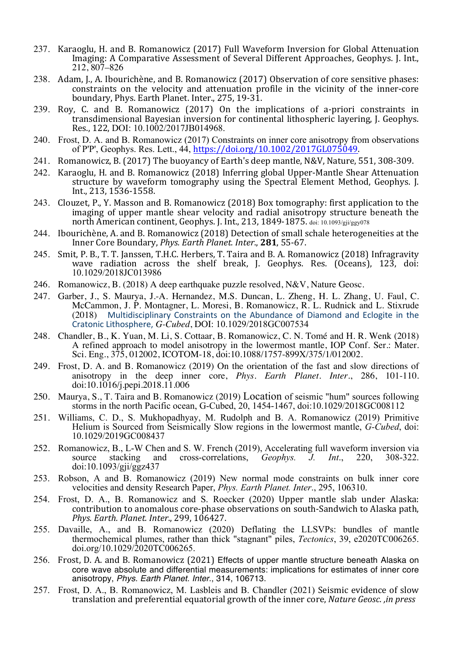- 237. Karaoglu, H. and B. Romanowicz (2017) Full Waveform Inversion for Global Attenuation Imaging: A Comparative Assessment of Several Different Approaches, Geophys. J. Int., 212, 807–826
- 238. Adam, J., A. Ibourichène, and B. Romanowicz (2017) Observation of core sensitive phases: constraints on the velocity and attenuation profile in the vicinity of the inner-core boundary, Phys. Earth Planet. Inter., 275, 19-31.
- 239. Roy, C. and B. Romanowicz (2017) On the implications of a-priori constraints in transdimensional Bayesian inversion for continental lithospheric layering, J. Geophys. Res., 122, DOI: 10.1002/2017JB014968.
- 240. Frost, D. A. and B. Romanowicz (2017) Constraints on inner core anisotropy from observations of P'P', Geophys. Res. Lett.,  $4\overline{4}$ , https://doi.org/10.1002/2017GL075049.
- 241. Romanowicz, B. (2017) The buoyancy of Earth's deep mantle, N&V, Nature, 551, 308-309.
- 242. Karaoglu, H. and B. Romanowicz (2018) Inferring global Upper-Mantle Shear Attenuation structure by waveform tomography using the Spectral Element Method, Geophys. J. Int., 213, 1536-1558.
- 243. Clouzet, P., Y. Masson and B. Romanowicz (2018) Box tomography: first application to the imaging of upper mantle shear velocity and radial anisotropy structure beneath the north American continent, Geophys. J. Int., 213, 1849-1875. doi: 10.1093/gji/ggy078
- 244. Ibourichène, A. and B. Romanowicz (2018) Detection of small schale heterogeneities at the Inner Core Boundary, *Phys. Earth Planet. Inter.*, **281**, 55-67.
- 245. Smit, P. B., T. T. Janssen, T.H.C. Herbers, T. Taira and B. A. Romanowicz (2018) Infragravity wave radiation across the shelf break, J. Geophys. Res.  $(Oceans)$ , 123, doi: 10.1029/2018JC013986
- 246. Romanowicz, B. (2018) A deep earthquake puzzle resolved, N&V, Nature Geosc.
- 247. Garber, J., S. Maurya, J.-A. Hernandez, M.S. Duncan, L. Zheng, H. L. Zhang, U. Faul, C. McCammon, J. P. Montagner, L. Moresi, B. Romanowicz, R. L. Rudnick and L. Stixrude (2018) Multidisciplinary Constraints on the Abundance of Diamond and Eclogite in the Multidisciplinary Constraints on the Abundance of Diamond and Eclogite in the Cratonic Lithosphere, *G-Cubed*, DOI: 10.1029/2018GC007534
- 248. Chandler, B., K. Yuan, M. Li, S. Cottaar, B. Romanowicz, C. N. Tomé and H. R. Wenk (2018) A refined approach to model anisotropy in the lowermost mantle, IOP Conf. Ser.: Mater. Sci. Eng., 375, 012002, ICOTOM-18, doi:10.1088/1757-899X/375/1/012002.
- 249. Frost, D. A. and B. Romanowicz (2019) On the orientation of the fast and slow directions of anisotropy in the deep inner core, *Phys. Earth Planet. Inter.*, 286, 101-110. doi:10.1016/j.pepi.2018.11.006
- 250. Maurya, S., T. Taira and B. Romanowicz (2019) Location of seismic "hum" sources following storms in the north Pacific ocean, G-Cubed, 20, 1454-1467, doi:10.1029/2018GC008112
- 251. Williams, C. D., S. Mukhopadhyay, M. Rudolph and B. A. Romanowicz (2019) Primitive Helium is Sourced from Seismically Slow regions in the lowermost mantle, *G-Cubed*, doi: 10.1029/2019GC008437
- 252. Romanowicz, B., L-W Chen and S. W. French (2019), Accelerating full waveform inversion via<br>source stacking and cross-correlations. *Geophys. J. Int.* 220. 308-322. source stacking and cross-correlations, *Geophys. J. Int*., 220, 308-322. doi:10.1093/gji/ggz437
- 253. Robson, A and B. Romanowicz (2019) New normal mode constraints on bulk inner core velocities and density Research Paper, *Phys. Earth Planet. Inter*., 295, 106310.
- 254. Frost, D. A., B. Romanowicz and S. Roecker (2020) Upper mantle slab under Alaska: contribution to anomalous core-phase observations on south-Sandwich to Alaska path, *Phys. Earth. Planet. Inter.*, 299, 106427.
- 255. Davaille, A., and B. Romanowicz (2020) Deflating the LLSVPs: bundles of mantle thermochemical plumes, rather than thick "stagnant" piles, *Tectonics*, 39, e2020TC006265. doi.org/10.1029/2020TC006265.
- 256. Frost, D. A. and B. Romanowicz (2021) Effects of upper mantle structure beneath Alaska on core wave absolute and differential measurements: implications for estimates of inner core anisotropy, *Phys. Earth Planet. Inter*., 314, 106713.
- 257. Frost, D. A., B. Romanowicz, M. Lasbleis and B. Chandler (2021) Seismic evidence of slow translation and preferential equatorial growth of the inner core, *Nature Geosc.*, *in press*